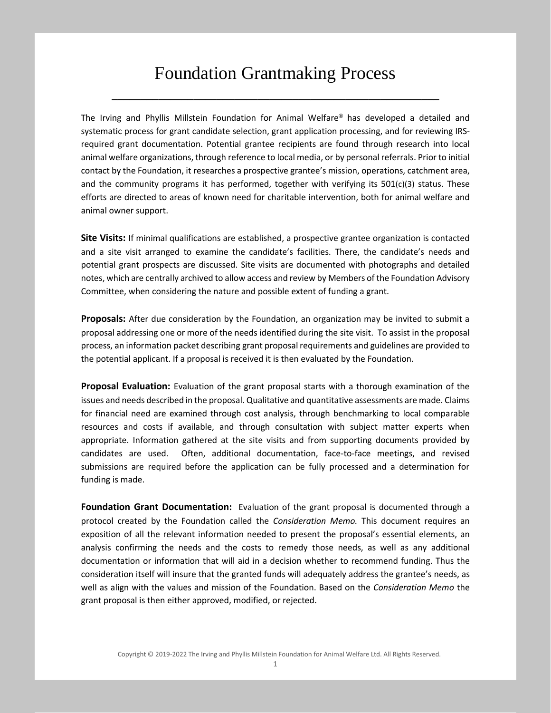## Foundation Grantmaking Process

**\_\_\_\_\_\_\_\_\_\_\_\_\_\_\_\_\_\_\_\_\_\_\_\_\_\_\_\_\_\_\_\_\_\_\_\_\_\_\_\_\_\_\_\_\_\_\_\_\_\_\_\_\_\_\_\_**

The Irving and Phyllis Millstein Foundation for Animal Welfare® has developed a detailed and systematic process for grant candidate selection, grant application processing, and for reviewing IRSrequired grant documentation. Potential grantee recipients are found through research into local animal welfare organizations, through reference to local media, or by personal referrals. Prior to initial contact by the Foundation, it researches a prospective grantee's mission, operations, catchment area, and the community programs it has performed, together with verifying its 501(c)(3) status. These efforts are directed to areas of known need for charitable intervention, both for animal welfare and animal owner support.

**Site Visits:** If minimal qualifications are established, a prospective grantee organization is contacted and a site visit arranged to examine the candidate's facilities. There, the candidate's needs and potential grant prospects are discussed. Site visits are documented with photographs and detailed notes, which are centrally archived to allow access and review by Members of the Foundation Advisory Committee, when considering the nature and possible extent of funding a grant.

**Proposals:** After due consideration by the Foundation, an organization may be invited to submit a proposal addressing one or more of the needs identified during the site visit. To assist in the proposal process, an information packet describing grant proposal requirements and guidelines are provided to the potential applicant. If a proposal is received it is then evaluated by the Foundation.

**Proposal Evaluation:** Evaluation of the grant proposal starts with a thorough examination of the issues and needs described in the proposal. Qualitative and quantitative assessments are made. Claims for financial need are examined through cost analysis, through benchmarking to local comparable resources and costs if available, and through consultation with subject matter experts when appropriate. Information gathered at the site visits and from supporting documents provided by candidates are used. Often, additional documentation, face-to-face meetings, and revised submissions are required before the application can be fully processed and a determination for funding is made.

**Foundation Grant Documentation:** Evaluation of the grant proposal is documented through a protocol created by the Foundation called the *Consideration Memo.* This document requires an exposition of all the relevant information needed to present the proposal's essential elements, an analysis confirming the needs and the costs to remedy those needs, as well as any additional documentation or information that will aid in a decision whether to recommend funding. Thus the consideration itself will insure that the granted funds will adequately address the grantee's needs, as well as align with the values and mission of the Foundation. Based on the *Consideration Memo* the grant proposal is then either approved, modified, or rejected.